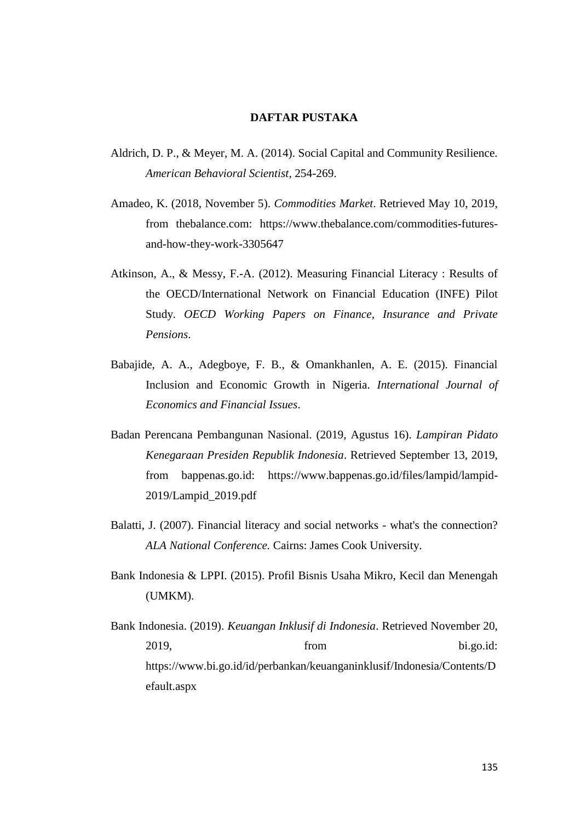## **DAFTAR PUSTAKA**

- Aldrich, D. P., & Meyer, M. A. (2014). Social Capital and Community Resilience. *American Behavioral Scientist*, 254-269.
- Amadeo, K. (2018, November 5). *Commodities Market*. Retrieved May 10, 2019, from thebalance.com: https://www.thebalance.com/commodities-futuresand-how-they-work-3305647
- Atkinson, A., & Messy, F.-A. (2012). Measuring Financial Literacy : Results of the OECD/International Network on Financial Education (INFE) Pilot Study. *OECD Working Papers on Finance, Insurance and Private Pensions*.
- Babajide, A. A., Adegboye, F. B., & Omankhanlen, A. E. (2015). Financial Inclusion and Economic Growth in Nigeria. *International Journal of Economics and Financial Issues*.
- Badan Perencana Pembangunan Nasional. (2019, Agustus 16). *Lampiran Pidato Kenegaraan Presiden Republik Indonesia*. Retrieved September 13, 2019, from bappenas.go.id: https://www.bappenas.go.id/files/lampid/lampid-2019/Lampid\_2019.pdf
- Balatti, J. (2007). Financial literacy and social networks what's the connection? *ALA National Conference.* Cairns: James Cook University.
- Bank Indonesia & LPPI. (2015). Profil Bisnis Usaha Mikro, Kecil dan Menengah (UMKM).
- Bank Indonesia. (2019). *Keuangan Inklusif di Indonesia*. Retrieved November 20, 2019, from bi.go.id: https://www.bi.go.id/id/perbankan/keuanganinklusif/Indonesia/Contents/D efault.aspx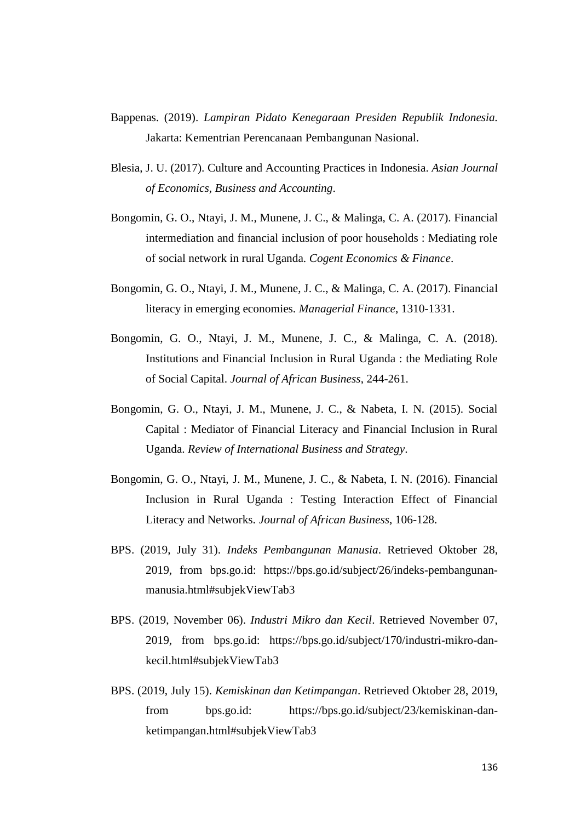- Bappenas. (2019). *Lampiran Pidato Kenegaraan Presiden Republik Indonesia.* Jakarta: Kementrian Perencanaan Pembangunan Nasional.
- Blesia, J. U. (2017). Culture and Accounting Practices in Indonesia. *Asian Journal of Economics, Business and Accounting*.
- Bongomin, G. O., Ntayi, J. M., Munene, J. C., & Malinga, C. A. (2017). Financial intermediation and financial inclusion of poor households : Mediating role of social network in rural Uganda. *Cogent Economics & Finance*.
- Bongomin, G. O., Ntayi, J. M., Munene, J. C., & Malinga, C. A. (2017). Financial literacy in emerging economies. *Managerial Finance*, 1310-1331.
- Bongomin, G. O., Ntayi, J. M., Munene, J. C., & Malinga, C. A. (2018). Institutions and Financial Inclusion in Rural Uganda : the Mediating Role of Social Capital. *Journal of African Business*, 244-261.
- Bongomin, G. O., Ntayi, J. M., Munene, J. C., & Nabeta, I. N. (2015). Social Capital : Mediator of Financial Literacy and Financial Inclusion in Rural Uganda. *Review of International Business and Strategy*.
- Bongomin, G. O., Ntayi, J. M., Munene, J. C., & Nabeta, I. N. (2016). Financial Inclusion in Rural Uganda : Testing Interaction Effect of Financial Literacy and Networks. *Journal of African Business*, 106-128.
- BPS. (2019, July 31). *Indeks Pembangunan Manusia*. Retrieved Oktober 28, 2019, from bps.go.id: https://bps.go.id/subject/26/indeks-pembangunanmanusia.html#subjekViewTab3
- BPS. (2019, November 06). *Industri Mikro dan Kecil*. Retrieved November 07, 2019, from bps.go.id: https://bps.go.id/subject/170/industri-mikro-dankecil.html#subjekViewTab3
- BPS. (2019, July 15). *Kemiskinan dan Ketimpangan*. Retrieved Oktober 28, 2019, from bps.go.id: https://bps.go.id/subject/23/kemiskinan-danketimpangan.html#subjekViewTab3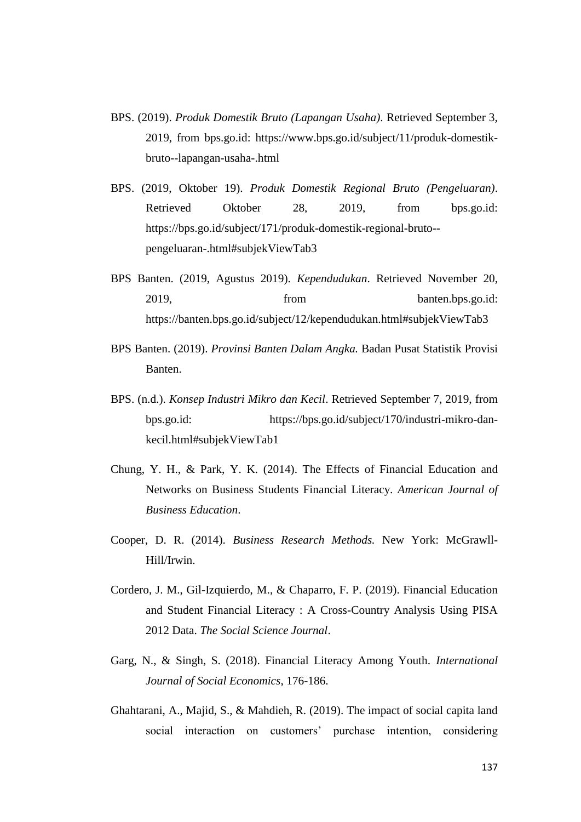- BPS. (2019). *Produk Domestik Bruto (Lapangan Usaha)*. Retrieved September 3, 2019, from bps.go.id: https://www.bps.go.id/subject/11/produk-domestikbruto--lapangan-usaha-.html
- BPS. (2019, Oktober 19). *Produk Domestik Regional Bruto (Pengeluaran)*. Retrieved Oktober 28, 2019, from bps.go.id: https://bps.go.id/subject/171/produk-domestik-regional-bruto- pengeluaran-.html#subjekViewTab3
- BPS Banten. (2019, Agustus 2019). *Kependudukan*. Retrieved November 20, 2019, from banten.bps.go.id: https://banten.bps.go.id/subject/12/kependudukan.html#subjekViewTab3
- BPS Banten. (2019). *Provinsi Banten Dalam Angka.* Badan Pusat Statistik Provisi Banten.
- BPS. (n.d.). *Konsep Industri Mikro dan Kecil*. Retrieved September 7, 2019, from bps.go.id: https://bps.go.id/subject/170/industri-mikro-dankecil.html#subjekViewTab1
- Chung, Y. H., & Park, Y. K. (2014). The Effects of Financial Education and Networks on Business Students Financial Literacy. *American Journal of Business Education*.
- Cooper, D. R. (2014). *Business Research Methods.* New York: McGrawll-Hill/Irwin.
- Cordero, J. M., Gil-Izquierdo, M., & Chaparro, F. P. (2019). Financial Education and Student Financial Literacy : A Cross-Country Analysis Using PISA 2012 Data. *The Social Science Journal*.
- Garg, N., & Singh, S. (2018). Financial Literacy Among Youth. *International Journal of Social Economics*, 176-186.
- Ghahtarani, A., Majid, S., & Mahdieh, R. (2019). The impact of social capita land social interaction on customers' purchase intention, considering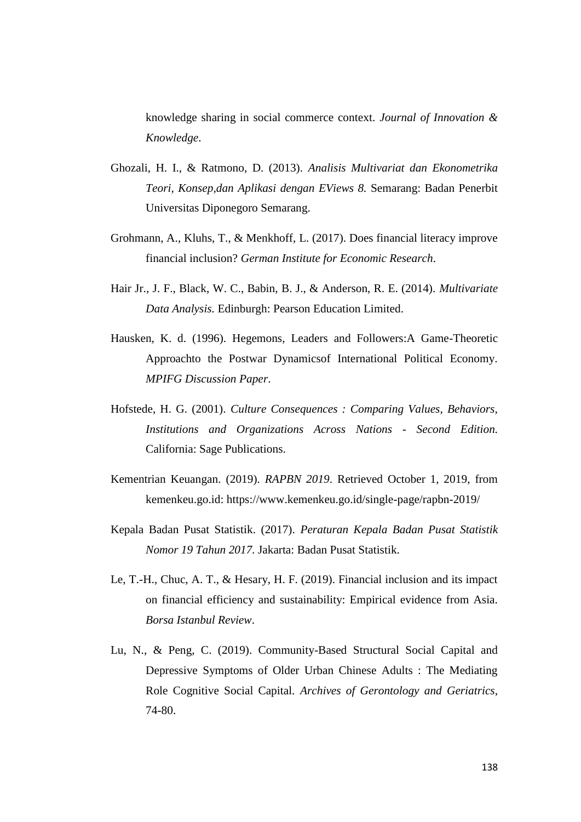knowledge sharing in social commerce context. *Journal of Innovation & Knowledge*.

- Ghozali, H. I., & Ratmono, D. (2013). *Analisis Multivariat dan Ekonometrika Teori, Konsep,dan Aplikasi dengan EViews 8.* Semarang: Badan Penerbit Universitas Diponegoro Semarang.
- Grohmann, A., Kluhs, T., & Menkhoff, L. (2017). Does financial literacy improve financial inclusion? *German Institute for Economic Research*.
- Hair Jr., J. F., Black, W. C., Babin, B. J., & Anderson, R. E. (2014). *Multivariate Data Analysis.* Edinburgh: Pearson Education Limited.
- Hausken, K. d. (1996). Hegemons, Leaders and Followers:A Game-Theoretic Approachto the Postwar Dynamicsof International Political Economy. *MPIFG Discussion Paper*.
- Hofstede, H. G. (2001). *Culture Consequences : Comparing Values, Behaviors, Institutions and Organizations Across Nations - Second Edition.* California: Sage Publications.
- Kementrian Keuangan. (2019). *RAPBN 2019*. Retrieved October 1, 2019, from kemenkeu.go.id: https://www.kemenkeu.go.id/single-page/rapbn-2019/
- Kepala Badan Pusat Statistik. (2017). *Peraturan Kepala Badan Pusat Statistik Nomor 19 Tahun 2017.* Jakarta: Badan Pusat Statistik.
- Le, T.-H., Chuc, A. T., & Hesary, H. F. (2019). Financial inclusion and its impact on financial efficiency and sustainability: Empirical evidence from Asia. *Borsa Istanbul Review*.
- Lu, N., & Peng, C. (2019). Community-Based Structural Social Capital and Depressive Symptoms of Older Urban Chinese Adults : The Mediating Role Cognitive Social Capital. *Archives of Gerontology and Geriatrics*, 74-80.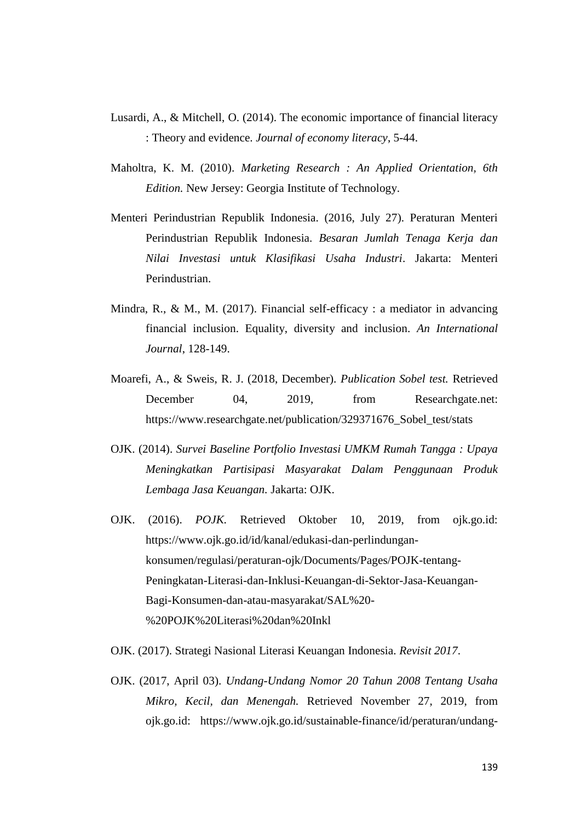- Lusardi, A., & Mitchell, O. (2014). The economic importance of financial literacy : Theory and evidence. *Journal of economy literacy*, 5-44.
- Maholtra, K. M. (2010). *Marketing Research : An Applied Orientation, 6th Edition.* New Jersey: Georgia Institute of Technology.
- Menteri Perindustrian Republik Indonesia. (2016, July 27). Peraturan Menteri Perindustrian Republik Indonesia. *Besaran Jumlah Tenaga Kerja dan Nilai Investasi untuk Klasifikasi Usaha Industri*. Jakarta: Menteri Perindustrian.
- Mindra, R., & M., M. (2017). Financial self-efficacy : a mediator in advancing financial inclusion. Equality, diversity and inclusion. *An International Journal*, 128-149.
- Moarefi, A., & Sweis, R. J. (2018, December). *Publication Sobel test.* Retrieved December 04, 2019, from Researchgate.net: https://www.researchgate.net/publication/329371676\_Sobel\_test/stats
- OJK. (2014). *Survei Baseline Portfolio Investasi UMKM Rumah Tangga : Upaya Meningkatkan Partisipasi Masyarakat Dalam Penggunaan Produk Lembaga Jasa Keuangan.* Jakarta: OJK.
- OJK. (2016). *POJK.* Retrieved Oktober 10, 2019, from ojk.go.id: https://www.ojk.go.id/id/kanal/edukasi-dan-perlindungankonsumen/regulasi/peraturan-ojk/Documents/Pages/POJK-tentang-Peningkatan-Literasi-dan-Inklusi-Keuangan-di-Sektor-Jasa-Keuangan-Bagi-Konsumen-dan-atau-masyarakat/SAL%20- %20POJK%20Literasi%20dan%20Inkl
- OJK. (2017). Strategi Nasional Literasi Keuangan Indonesia. *Revisit 2017*.
- OJK. (2017, April 03). *Undang-Undang Nomor 20 Tahun 2008 Tentang Usaha Mikro, Kecil, dan Menengah.* Retrieved November 27, 2019, from ojk.go.id: https://www.ojk.go.id/sustainable-finance/id/peraturan/undang-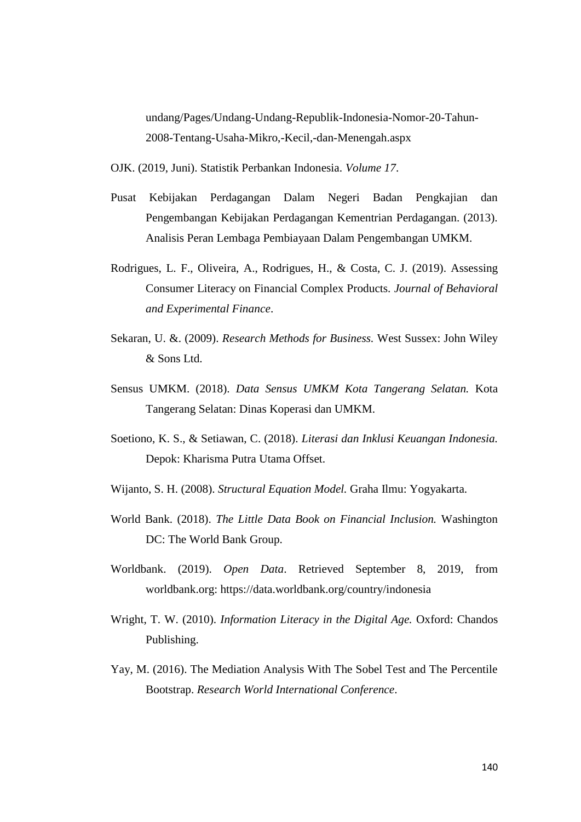undang/Pages/Undang-Undang-Republik-Indonesia-Nomor-20-Tahun-2008-Tentang-Usaha-Mikro,-Kecil,-dan-Menengah.aspx

OJK. (2019, Juni). Statistik Perbankan Indonesia. *Volume 17*.

- Pusat Kebijakan Perdagangan Dalam Negeri Badan Pengkajian dan Pengembangan Kebijakan Perdagangan Kementrian Perdagangan. (2013). Analisis Peran Lembaga Pembiayaan Dalam Pengembangan UMKM.
- Rodrigues, L. F., Oliveira, A., Rodrigues, H., & Costa, C. J. (2019). Assessing Consumer Literacy on Financial Complex Products. *Journal of Behavioral and Experimental Finance*.
- Sekaran, U. &. (2009). *Research Methods for Business.* West Sussex: John Wiley & Sons Ltd.
- Sensus UMKM. (2018). *Data Sensus UMKM Kota Tangerang Selatan.* Kota Tangerang Selatan: Dinas Koperasi dan UMKM.
- Soetiono, K. S., & Setiawan, C. (2018). *Literasi dan Inklusi Keuangan Indonesia.* Depok: Kharisma Putra Utama Offset.
- Wijanto, S. H. (2008). *Structural Equation Model.* Graha Ilmu: Yogyakarta.
- World Bank. (2018). *The Little Data Book on Financial Inclusion.* Washington DC: The World Bank Group.
- Worldbank. (2019). *Open Data*. Retrieved September 8, 2019, from worldbank.org: https://data.worldbank.org/country/indonesia
- Wright, T. W. (2010). *Information Literacy in the Digital Age.* Oxford: Chandos Publishing.
- Yay, M. (2016). The Mediation Analysis With The Sobel Test and The Percentile Bootstrap. *Research World International Conference*.